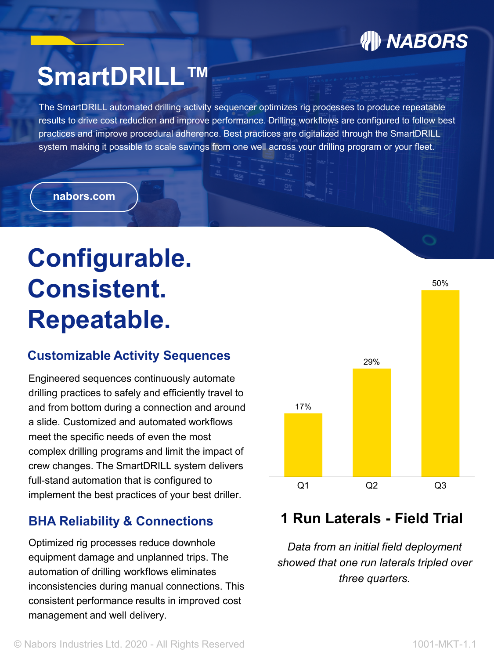## **/// NABORS**

# **SmartDRILL™**

The SmartDRILL automated drilling activity sequencer optimizes rig processes to produce repeatable results to drive cost reduction and improve performance. Drilling workflows are configured to follow best practices and improve procedural adherence. Best practices are digitalized through the SmartDRILL system making it possible to scale savings from one well across your drilling program or your fleet.

#### **nabors.com nabors.com**

# **Configurable. Consistent. Repeatable.**

#### **Customizable Activity Sequences**

Engineered sequences continuously automate drilling practices to safely and efficiently travel to and from bottom during a connection and around a slide. Customized and automated workflows meet the specific needs of even the most complex drilling programs and limit the impact of crew changes. The SmartDRILL system delivers full-stand automation that is configured to implement the best practices of your best driller.

#### **BHA Reliability & Connections**

Optimized rig processes reduce downhole equipment damage and unplanned trips. The automation of drilling workflows eliminates inconsistencies during manual connections. This consistent performance results in improved cost management and well delivery.



### **1 Run Laterals - Field Trial**

*Data from an initial field deployment showed that one run laterals tripled over three quarters.*